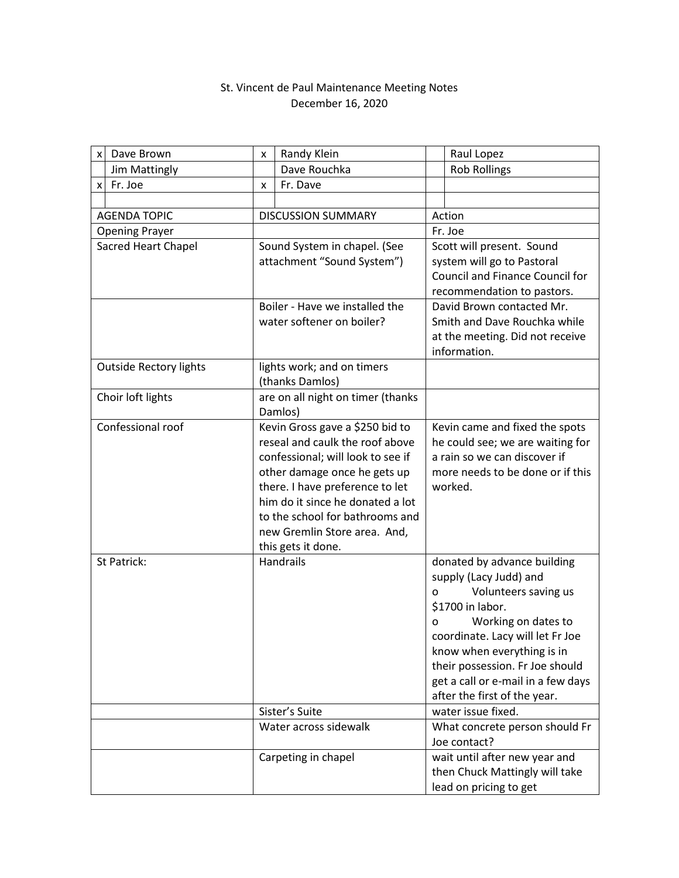## St. Vincent de Paul Maintenance Meeting Notes December 16, 2020

| x                             | Dave Brown        | x                                             | Randy Klein                                  |                                        | Raul Lopez                               |
|-------------------------------|-------------------|-----------------------------------------------|----------------------------------------------|----------------------------------------|------------------------------------------|
|                               | Jim Mattingly     |                                               | Dave Rouchka                                 |                                        | <b>Rob Rollings</b>                      |
| x                             | Fr. Joe           | x                                             | Fr. Dave                                     |                                        |                                          |
|                               |                   |                                               |                                              |                                        |                                          |
| <b>AGENDA TOPIC</b>           |                   | <b>DISCUSSION SUMMARY</b>                     |                                              | Action                                 |                                          |
| <b>Opening Prayer</b>         |                   |                                               |                                              | Fr. Joe                                |                                          |
| Sacred Heart Chapel           |                   | Sound System in chapel. (See                  |                                              | Scott will present. Sound              |                                          |
|                               |                   | attachment "Sound System")                    |                                              | system will go to Pastoral             |                                          |
|                               |                   |                                               |                                              | <b>Council and Finance Council for</b> |                                          |
|                               |                   |                                               |                                              |                                        | recommendation to pastors.               |
|                               |                   | Boiler - Have we installed the                |                                              | David Brown contacted Mr.              |                                          |
|                               |                   | water softener on boiler?                     |                                              | Smith and Dave Rouchka while           |                                          |
|                               |                   |                                               |                                              | at the meeting. Did not receive        |                                          |
|                               |                   |                                               |                                              |                                        | information.                             |
| <b>Outside Rectory lights</b> |                   | lights work; and on timers<br>(thanks Damlos) |                                              |                                        |                                          |
|                               | Choir loft lights |                                               | are on all night on timer (thanks<br>Damlos) |                                        |                                          |
|                               | Confessional roof |                                               | Kevin Gross gave a \$250 bid to              |                                        | Kevin came and fixed the spots           |
|                               |                   |                                               | reseal and caulk the roof above              |                                        | he could see; we are waiting for         |
|                               |                   |                                               | confessional; will look to see if            |                                        | a rain so we can discover if             |
|                               |                   |                                               | other damage once he gets up                 |                                        | more needs to be done or if this         |
|                               |                   |                                               | there. I have preference to let              |                                        | worked.                                  |
|                               |                   |                                               | him do it since he donated a lot             |                                        |                                          |
|                               |                   |                                               | to the school for bathrooms and              |                                        |                                          |
|                               |                   |                                               | new Gremlin Store area. And,                 |                                        |                                          |
|                               |                   |                                               | this gets it done.                           |                                        |                                          |
|                               | St Patrick:       |                                               | Handrails                                    |                                        | donated by advance building              |
|                               |                   |                                               |                                              |                                        | supply (Lacy Judd) and                   |
|                               |                   |                                               |                                              | O                                      | Volunteers saving us<br>\$1700 in labor. |
|                               |                   |                                               |                                              | o                                      | Working on dates to                      |
|                               |                   |                                               |                                              |                                        | coordinate. Lacy will let Fr Joe         |
|                               |                   |                                               |                                              |                                        | know when everything is in               |
|                               |                   |                                               |                                              |                                        | their possession. Fr Joe should          |
|                               |                   |                                               |                                              |                                        | get a call or e-mail in a few days       |
|                               |                   |                                               |                                              |                                        | after the first of the year.             |
|                               |                   |                                               | Sister's Suite                               |                                        | water issue fixed.                       |
|                               |                   |                                               | Water across sidewalk                        |                                        | What concrete person should Fr           |
|                               |                   |                                               |                                              |                                        | Joe contact?                             |
|                               |                   |                                               | Carpeting in chapel                          |                                        | wait until after new year and            |
|                               |                   |                                               |                                              |                                        | then Chuck Mattingly will take           |
|                               |                   |                                               |                                              |                                        | lead on pricing to get                   |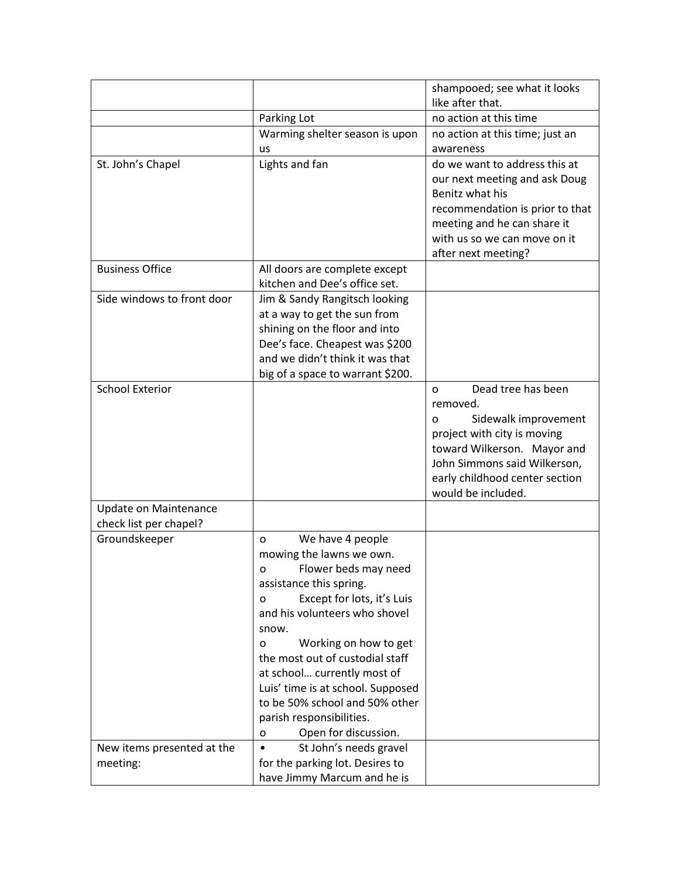|                            |                                   | shampooed; see what it looks    |
|----------------------------|-----------------------------------|---------------------------------|
|                            |                                   | like after that.                |
|                            | Parking Lot                       | no action at this time          |
|                            | Warming shelter season is upon    | no action at this time; just an |
|                            | us                                | awareness                       |
| St. John's Chapel          | Lights and fan                    | do we want to address this at   |
|                            |                                   | our next meeting and ask Doug   |
|                            |                                   | Benitz what his                 |
|                            |                                   | recommendation is prior to that |
|                            |                                   | meeting and he can share it     |
|                            |                                   | with us so we can move on it    |
|                            |                                   | after next meeting?             |
| <b>Business Office</b>     | All doors are complete except     |                                 |
|                            | kitchen and Dee's office set.     |                                 |
| Side windows to front door | Jim & Sandy Rangitsch looking     |                                 |
|                            | at a way to get the sun from      |                                 |
|                            | shining on the floor and into     |                                 |
|                            | Dee's face. Cheapest was \$200    |                                 |
|                            | and we didn't think it was that   |                                 |
|                            | big of a space to warrant \$200.  |                                 |
| <b>School Exterior</b>     |                                   | Dead tree has been<br>$\Omega$  |
|                            |                                   | removed.                        |
|                            |                                   | Sidewalk improvement<br>O       |
|                            |                                   | project with city is moving     |
|                            |                                   | toward Wilkerson. Mayor and     |
|                            |                                   | John Simmons said Wilkerson,    |
|                            |                                   | early childhood center section  |
|                            |                                   | would be included.              |
| Update on Maintenance      |                                   |                                 |
| check list per chapel?     |                                   |                                 |
| Groundskeeper              | We have 4 people<br>O             |                                 |
|                            | mowing the lawns we own.          |                                 |
|                            | Flower beds may need<br>o         |                                 |
|                            | assistance this spring.           |                                 |
|                            | Except for lots, it's Luis<br>o   |                                 |
|                            | and his volunteers who shovel     |                                 |
|                            | snow.                             |                                 |
|                            | Working on how to get<br>o        |                                 |
|                            | the most out of custodial staff   |                                 |
|                            | at school currently most of       |                                 |
|                            | Luis' time is at school. Supposed |                                 |
|                            | to be 50% school and 50% other    |                                 |
|                            | parish responsibilities.          |                                 |
|                            | Open for discussion.<br>o         |                                 |
| New items presented at the | St John's needs gravel            |                                 |
| meeting:                   | for the parking lot. Desires to   |                                 |
|                            | have Jimmy Marcum and he is       |                                 |